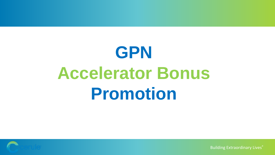# **GPN Accelerator Bonus Promotion**



Building Extraordinary Lives<sup>®</sup>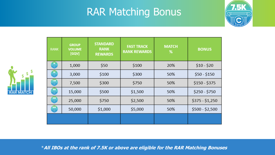## RAR Matching Bonus



| <b>RANK</b>                 | <b>GROUP</b><br><b>VOLUME</b><br>[GQV] | <b>STANDARD</b><br><b>RANK</b><br><b>REWARDS</b> | <b>FAST TRACK</b><br><b>RANK REWARDS</b> | <b>MATCH</b><br>% | <b>BONUS</b>    |
|-----------------------------|----------------------------------------|--------------------------------------------------|------------------------------------------|-------------------|-----------------|
| 1K  <br>$\mathbf{c}^{\top}$ | 1,000                                  | \$50                                             | \$100                                    | 20%               | $$10 - $20$     |
| $rac{3K}{c}$                | 3,000                                  | \$100                                            | \$300                                    | 50%               | $$50 - $150$    |
| $rac{7.5K}{C}$              | 7,500                                  | \$300                                            | \$750                                    | 50%               | $$150 - $375$   |
| 15K<br>C                    | 15,000                                 | \$500                                            | \$1,500                                  | 50%               | $$250 - $750$   |
| $rac{25K}{C}$               | 25,000                                 | \$750                                            | \$2,500                                  | 50%               | $$375 - $1,250$ |
| SOK<br>C                    | 50,000                                 | \$1,000                                          | \$5,000                                  | 50%               | $$500 - $2,500$ |
|                             |                                        |                                                  |                                          |                   |                 |



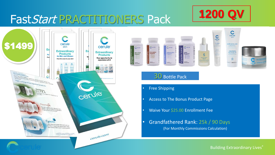

## FastStart PRACTITIONERS Pack





#### 30 Bottle Pack

- Free Shipping
- Access to The Bonus Product Page
- Waive Your \$25.00 Enrollment Fee
- Grandfathered Rank: 25k / 90 Days (For Monthly Commissions Calculation)

Building Extraordinary Lives<sup>®</sup>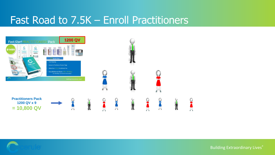## Fast Road to 7.5K – Enroll Practitioners





Building Extraordinary Lives®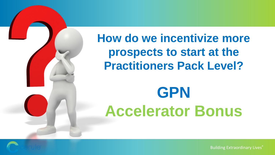

**How do we incentivize more prospects to start at the Practitioners Pack Level?**

# **GPN Accelerator Bonus**

Building Extraordinary Lives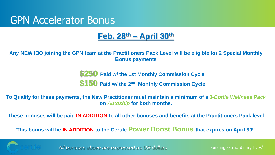## GPN Accelerator Bonus

### **Feb. 28th – April 30th**

**Any NEW IBO joining the GPN team at the Practitioners Pack Level will be eligible for 2 Special Monthly Bonus payments**

> **\$250 Paid w/ the 1st Monthly Commission Cycle \$150** Paid w/ the 2<sup>nd</sup> Monthly Commission Cycle

**To Qualify for these payments, the New Practitioner must maintain a minimum of a** *3-Bottle Wellness Pack*  **on** *Autoship* **for both months.**

**These bonuses will be paid IN ADDITION to all other bonuses and benefits at the Practitioners Pack level**

**This bonus will be IN ADDITION to the Cerule Power Boost Bonus that expires on April 30th**



*All bonuses above are expressed as US dollars*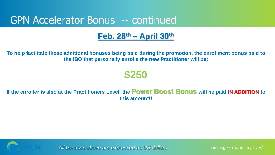## GPN Accelerator Bonus -- continued

### **Feb. 28th – April 30th**

**To help facilitate these additional bonuses being paid during the promotion, the enrollment bonus paid to the IBO that personally enrolls the new Practitioner will be:**

## **\$250**

#### **If the enroller is also at the Practitioners Level, the Power Boost Bonus will be paid IN ADDITION to this amount!!**



*All bonuses above are expressed as US dollars*

Building Extraordinary Lives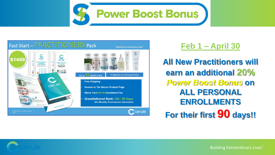



#### **Feb 1 – April 30**

**All New Practitioners will earn an additional 20%** *Power Boost Bonus* **on ALL PERSONAL ENROLLMENTS For their first 90 days!!**